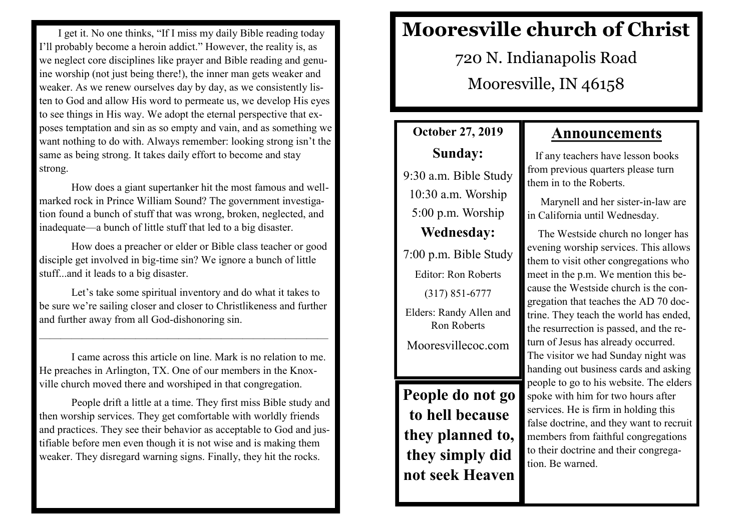I get it. No one thinks, "If I miss my daily Bible reading today I'll probably become a heroin addict." However, the reality is, as we neglect core disciplines like prayer and Bible reading and genuine worship (not just being there!), the inner man gets weaker and weaker. As we renew ourselves day by day, as we consistently listen to God and allow His word to permeate us, we develop His eyes to see things in His way. We adopt the eternal perspective that exposes temptation and sin as so empty and vain, and as something we want nothing to do with. Always remember: looking strong isn't the same as being strong. It takes daily effort to become and stay strong.

How does a giant supertanker hit the most famous and wellmarked rock in Prince William Sound? The government investigation found a bunch of stuff that was wrong, broken, neglected, and inadequate—a bunch of little stuff that led to a big disaster.

How does a preacher or elder or Bible class teacher or good disciple get involved in big-time sin? We ignore a bunch of little stuff...and it leads to a big disaster.

Let's take some spiritual inventory and do what it takes to be sure we're sailing closer and closer to Christlikeness and further and further away from all God-dishonoring sin.

———————————————————————————

I came across this article on line. Mark is no relation to me. He preaches in Arlington, TX. One of our members in the Knoxville church moved there and worshiped in that congregation.

People drift a little at a time. They first miss Bible study and then worship services. They get comfortable with worldly friends and practices. They see their behavior as acceptable to God and justifiable before men even though it is not wise and is making them weaker. They disregard warning signs. Finally, they hit the rocks.

# **Mooresville church of Christ**

720 N. Indianapolis Road Mooresville, IN 46158

## **October 27, 2019 Sunday:**

9:30 a.m. Bible Study 10:30 a.m. Worship 5:00 p.m. Worship **Wednesday:** 7:00 p.m. Bible Study

Editor: Ron Roberts (317) 851-6777 Elders: Randy Allen and Ron Roberts

Mooresvillecoc.com

**People do not go to hell because they planned to, they simply did not seek Heaven**

### **Announcements**

 If any teachers have lesson books from previous quarters please turn them in to the Roberts.

 Marynell and her sister-in-law are in California until Wednesday.

 The Westside church no longer has evening worship services. This allows them to visit other congregations who meet in the p.m. We mention this because the Westside church is the congregation that teaches the AD 70 doctrine. They teach the world has ended, the resurrection is passed, and the return of Jesus has already occurred. The visitor we had Sunday night was handing out business cards and asking people to go to his website. The elders spoke with him for two hours after services. He is firm in holding this false doctrine, and they want to recruit members from faithful congregations to their doctrine and their congregation. Be warned.